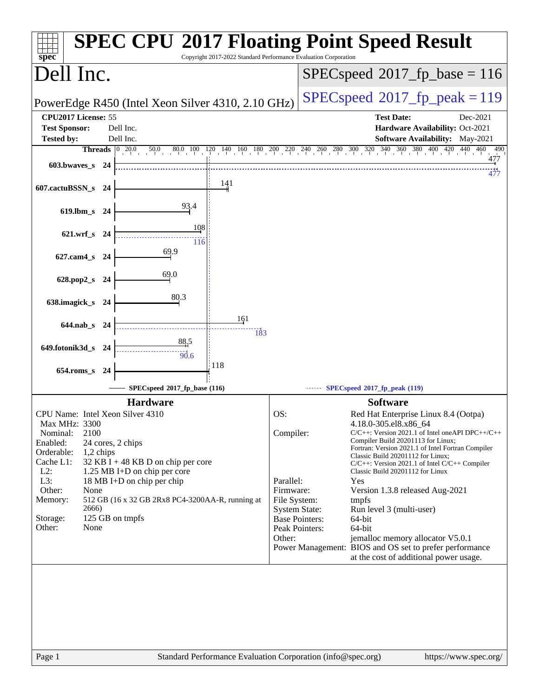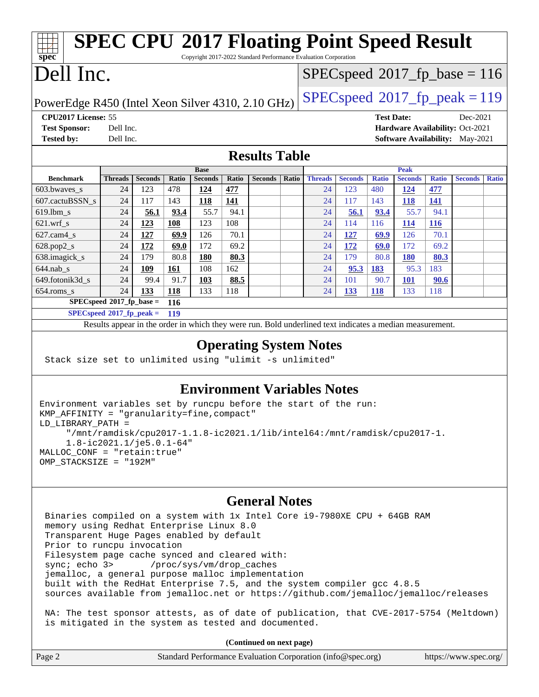| <b>SPEC CPU®2017 Floating Point Speed Result</b><br>Copyright 2017-2022 Standard Performance Evaluation Corporation<br>spec <sup>®</sup> |                |                |       |                |              |                                         |                                         |                |                |              |                |              |                |              |
|------------------------------------------------------------------------------------------------------------------------------------------|----------------|----------------|-------|----------------|--------------|-----------------------------------------|-----------------------------------------|----------------|----------------|--------------|----------------|--------------|----------------|--------------|
| Dell Inc.                                                                                                                                |                |                |       |                |              |                                         | $SPEC speed^{\circ}2017$ _fp_base = 116 |                |                |              |                |              |                |              |
| PowerEdge R450 (Intel Xeon Silver 4310, 2.10 GHz)                                                                                        |                |                |       |                |              | $SPEC speed^{\circ}2017$ _fp_peak = 119 |                                         |                |                |              |                |              |                |              |
| CPU2017 License: 55<br><b>Test Date:</b><br>Dec-2021                                                                                     |                |                |       |                |              |                                         |                                         |                |                |              |                |              |                |              |
| <b>Test Sponsor:</b><br>Hardware Availability: Oct-2021<br>Dell Inc.                                                                     |                |                |       |                |              |                                         |                                         |                |                |              |                |              |                |              |
| <b>Tested by:</b><br>Dell Inc.<br><b>Software Availability:</b> May-2021                                                                 |                |                |       |                |              |                                         |                                         |                |                |              |                |              |                |              |
| <b>Results Table</b>                                                                                                                     |                |                |       |                |              |                                         |                                         |                |                |              |                |              |                |              |
|                                                                                                                                          |                |                |       | <b>Base</b>    |              |                                         |                                         |                |                |              | <b>Peak</b>    |              |                |              |
| <b>Benchmark</b>                                                                                                                         | <b>Threads</b> | <b>Seconds</b> | Ratio | <b>Seconds</b> | <b>Ratio</b> | <b>Seconds</b>                          | Ratio                                   | <b>Threads</b> | <b>Seconds</b> | <b>Ratio</b> | <b>Seconds</b> | <b>Ratio</b> | <b>Seconds</b> | <b>Ratio</b> |
| 603.bwaves_s                                                                                                                             | 24             | 123            | 478   | 124            | 477          |                                         |                                         | 24             | 123            | 480          | 124            | 477          |                |              |
| 607.cactuBSSN s                                                                                                                          | 24             | 117            | 143   | 118            | 141          |                                         |                                         | 24             | 117            | 143          | 118            | 141          |                |              |
| 619.lbm s                                                                                                                                | 24             | 56.1           | 93.4  | 55.7           | 94.1         |                                         |                                         | 24             | 56.1           | 93.4         | 55.7           | 94.1         |                |              |
| $621$ .wrf s                                                                                                                             | 24             | 123            | 108   | 123            | 108          |                                         |                                         | 24             | 114            | 116          | 114            | <b>116</b>   |                |              |
| $627$ .cam4 s                                                                                                                            | 24             | 127            | 69.9  | 126            | 70.1         |                                         |                                         | 24             | 127            | 69.9         | 126            | 70.1         |                |              |
| $628.pop2_s$                                                                                                                             | 24             | 172            | 69.0  | 172            | 69.2         |                                         |                                         | 24             | 172            | 69.0         | 172            | 69.2         |                |              |
| 638.imagick_s                                                                                                                            | 24             | 179            | 80.8  | 180            | 80.3         |                                         |                                         | 24             | 179            | 80.8         | <b>180</b>     | 80.3         |                |              |
| $644$ .nab s                                                                                                                             | 24             | 109            | 161   | 108            | 162          |                                         |                                         | 24             | 95.3           | 183          | 95.3           | 183          |                |              |
| 649.fotonik3d s                                                                                                                          | 24             | 99.4           | 91.7  | 103            | 88.5         |                                         |                                         | 24             | 101            | 90.7         | 101            | 90.6         |                |              |
| $654$ .roms s                                                                                                                            | 24             | 133            | 118   | 133            | 118          |                                         |                                         | 24             | 133            | <b>118</b>   | 133            | 118          |                |              |
| $SPECspeed^*2017$ fp base =<br>116                                                                                                       |                |                |       |                |              |                                         |                                         |                |                |              |                |              |                |              |
| $SPECspeed*2017_fp\_peak =$<br>119                                                                                                       |                |                |       |                |              |                                         |                                         |                |                |              |                |              |                |              |
| Results appear in the order in which they were run. Bold underlined text indicates a median measurement.                                 |                |                |       |                |              |                                         |                                         |                |                |              |                |              |                |              |

### **[Operating System Notes](http://www.spec.org/auto/cpu2017/Docs/result-fields.html#OperatingSystemNotes)**

Stack size set to unlimited using "ulimit -s unlimited"

#### **[Environment Variables Notes](http://www.spec.org/auto/cpu2017/Docs/result-fields.html#EnvironmentVariablesNotes)**

```
Environment variables set by runcpu before the start of the run:
KMP_AFFINITY = "granularity=fine,compact"
LD_LIBRARY_PATH =
      "/mnt/ramdisk/cpu2017-1.1.8-ic2021.1/lib/intel64:/mnt/ramdisk/cpu2017-1.
      1.8-ic2021.1/je5.0.1-64"
MALLOC_CONF = "retain:true"
OMP_STACKSIZE = "192M"
```
#### **[General Notes](http://www.spec.org/auto/cpu2017/Docs/result-fields.html#GeneralNotes)**

 Binaries compiled on a system with 1x Intel Core i9-7980XE CPU + 64GB RAM memory using Redhat Enterprise Linux 8.0 Transparent Huge Pages enabled by default Prior to runcpu invocation Filesystem page cache synced and cleared with: sync; echo 3> /proc/sys/vm/drop\_caches jemalloc, a general purpose malloc implementation built with the RedHat Enterprise 7.5, and the system compiler gcc 4.8.5 sources available from jemalloc.net or <https://github.com/jemalloc/jemalloc/releases> NA: The test sponsor attests, as of date of publication, that CVE-2017-5754 (Meltdown) is mitigated in the system as tested and documented.

**(Continued on next page)**

|        | (Continued on hext page)                                    |                       |
|--------|-------------------------------------------------------------|-----------------------|
| Page 2 | Standard Performance Evaluation Corporation (info@spec.org) | https://www.spec.org/ |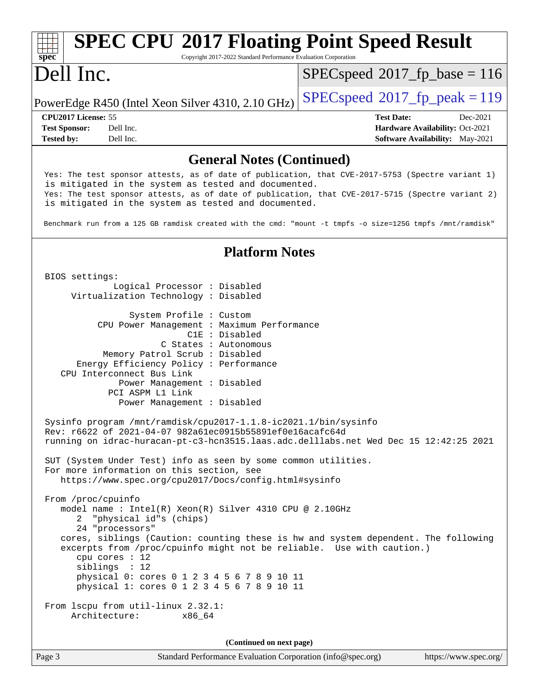#### Page 3 Standard Performance Evaluation Corporation [\(info@spec.org\)](mailto:info@spec.org) <https://www.spec.org/> **[spec](http://www.spec.org/) [SPEC CPU](http://www.spec.org/auto/cpu2017/Docs/result-fields.html#SPECCPU2017FloatingPointSpeedResult)[2017 Floating Point Speed Result](http://www.spec.org/auto/cpu2017/Docs/result-fields.html#SPECCPU2017FloatingPointSpeedResult)** Copyright 2017-2022 Standard Performance Evaluation Corporation Dell Inc. PowerEdge R450 (Intel Xeon Silver 4310, 2.10 GHz)  $\left|$  [SPECspeed](http://www.spec.org/auto/cpu2017/Docs/result-fields.html#SPECspeed2017fppeak)<sup>®</sup>[2017\\_fp\\_peak = 1](http://www.spec.org/auto/cpu2017/Docs/result-fields.html#SPECspeed2017fppeak)19  $SPEC speed^{\circledast}2017\_fp\_base = 116$ **[CPU2017 License:](http://www.spec.org/auto/cpu2017/Docs/result-fields.html#CPU2017License)** 55 **[Test Date:](http://www.spec.org/auto/cpu2017/Docs/result-fields.html#TestDate)** Dec-2021 **[Test Sponsor:](http://www.spec.org/auto/cpu2017/Docs/result-fields.html#TestSponsor)** Dell Inc. **[Hardware Availability:](http://www.spec.org/auto/cpu2017/Docs/result-fields.html#HardwareAvailability)** Oct-2021 **[Tested by:](http://www.spec.org/auto/cpu2017/Docs/result-fields.html#Testedby)** Dell Inc. Dell Inc. **[Software Availability:](http://www.spec.org/auto/cpu2017/Docs/result-fields.html#SoftwareAvailability)** May-2021 **[General Notes \(Continued\)](http://www.spec.org/auto/cpu2017/Docs/result-fields.html#GeneralNotes)** Yes: The test sponsor attests, as of date of publication, that CVE-2017-5753 (Spectre variant 1) is mitigated in the system as tested and documented. Yes: The test sponsor attests, as of date of publication, that CVE-2017-5715 (Spectre variant 2) is mitigated in the system as tested and documented. Benchmark run from a 125 GB ramdisk created with the cmd: "mount -t tmpfs -o size=125G tmpfs /mnt/ramdisk" **[Platform Notes](http://www.spec.org/auto/cpu2017/Docs/result-fields.html#PlatformNotes)** BIOS settings: Logical Processor : Disabled Virtualization Technology : Disabled System Profile : Custom CPU Power Management : Maximum Performance C1E : Disabled C States : Autonomous Memory Patrol Scrub : Disabled Energy Efficiency Policy : Performance CPU Interconnect Bus Link Power Management : Disabled PCI ASPM L1 Link Power Management : Disabled Sysinfo program /mnt/ramdisk/cpu2017-1.1.8-ic2021.1/bin/sysinfo Rev: r6622 of 2021-04-07 982a61ec0915b55891ef0e16acafc64d running on idrac-huracan-pt-c3-hcn3515.laas.adc.delllabs.net Wed Dec 15 12:42:25 2021 SUT (System Under Test) info as seen by some common utilities. For more information on this section, see <https://www.spec.org/cpu2017/Docs/config.html#sysinfo> From /proc/cpuinfo model name : Intel(R) Xeon(R) Silver 4310 CPU @ 2.10GHz 2 "physical id"s (chips) 24 "processors" cores, siblings (Caution: counting these is hw and system dependent. The following excerpts from /proc/cpuinfo might not be reliable. Use with caution.) cpu cores : 12 siblings : 12 physical 0: cores 0 1 2 3 4 5 6 7 8 9 10 11 physical 1: cores 0 1 2 3 4 5 6 7 8 9 10 11 From lscpu from util-linux 2.32.1: Architecture: x86\_64 **(Continued on next page)**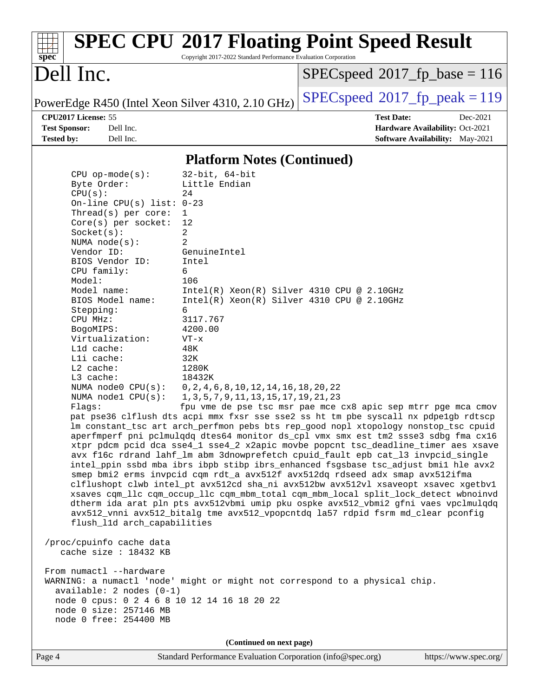|                                                   |                                                                 | <b>SPEC CPU®2017 Floating Point Speed Result</b> |  |  |  |
|---------------------------------------------------|-----------------------------------------------------------------|--------------------------------------------------|--|--|--|
| spec <sup>®</sup>                                 | Copyright 2017-2022 Standard Performance Evaluation Corporation |                                                  |  |  |  |
| Dell Inc.                                         |                                                                 | $SPEC speed^{\circ}2017\_fp\_base = 116$         |  |  |  |
| PowerEdge R450 (Intel Xeon Silver 4310, 2.10 GHz) |                                                                 | $SPEC speed@2017_fp\_peak = 119$                 |  |  |  |
| CPU2017 License: 55                               |                                                                 | <b>Test Date:</b><br>Dec-2021                    |  |  |  |
| <b>Test Sponsor:</b><br>Dell Inc.                 |                                                                 | Hardware Availability: Oct-2021                  |  |  |  |
| <b>Tested by:</b><br>Dell Inc.                    |                                                                 | Software Availability: May-2021                  |  |  |  |
|                                                   |                                                                 |                                                  |  |  |  |
|                                                   | <b>Platform Notes (Continued)</b>                               |                                                  |  |  |  |
| $CPU$ op-mode( $s$ ):                             | $32$ -bit, $64$ -bit                                            |                                                  |  |  |  |
| Byte Order:                                       | Little Endian                                                   |                                                  |  |  |  |
| CPU(s):                                           | 24                                                              |                                                  |  |  |  |
| On-line CPU(s) list: $0-23$                       |                                                                 |                                                  |  |  |  |
| Thread(s) per core:                               | $\mathbf{1}$                                                    |                                                  |  |  |  |
| $Core(s)$ per socket:                             | 12                                                              |                                                  |  |  |  |
| Socket(s):                                        | 2                                                               |                                                  |  |  |  |
| NUMA $node(s):$                                   | 2                                                               |                                                  |  |  |  |
| Vendor ID:                                        | GenuineIntel                                                    |                                                  |  |  |  |
| BIOS Vendor ID:                                   | Intel                                                           |                                                  |  |  |  |
| CPU family:                                       | б.                                                              |                                                  |  |  |  |
| Model:                                            | 106                                                             |                                                  |  |  |  |
| Model name:                                       | $Intel(R) Xeon(R) Silver 4310 CPU @ 2.10GHz$                    |                                                  |  |  |  |
| BIOS Model name:                                  | Intel(R) Xeon(R) Silver 4310 CPU @ 2.10GHz                      |                                                  |  |  |  |
| Stepping:                                         | б.                                                              |                                                  |  |  |  |
| CPU MHz:                                          | 3117.767                                                        |                                                  |  |  |  |
| BogoMIPS:                                         | 4200.00                                                         |                                                  |  |  |  |
| Virtualization:                                   | $VT - x$                                                        |                                                  |  |  |  |
| L1d cache:                                        | 48K                                                             |                                                  |  |  |  |
| Lli cache:                                        | 32K                                                             |                                                  |  |  |  |
| L2 cache:                                         | 1280K                                                           |                                                  |  |  |  |
| L3 cache:                                         | 18432K                                                          |                                                  |  |  |  |
| NUMA node0 CPU(s):                                | 0, 2, 4, 6, 8, 10, 12, 14, 16, 18, 20, 22                       |                                                  |  |  |  |
| NUMA nodel CPU(s):                                | 1, 3, 5, 7, 9, 11, 13, 15, 17, 19, 21, 23                       |                                                  |  |  |  |

Flags: fpu vme de pse tsc msr pae mce cx8 apic sep mtrr pge mca cmov pat pse36 clflush dts acpi mmx fxsr sse sse2 ss ht tm pbe syscall nx pdpe1gb rdtscp lm constant\_tsc art arch\_perfmon pebs bts rep\_good nopl xtopology nonstop\_tsc cpuid aperfmperf pni pclmulqdq dtes64 monitor ds\_cpl vmx smx est tm2 ssse3 sdbg fma cx16 xtpr pdcm pcid dca sse4\_1 sse4\_2 x2apic movbe popcnt tsc\_deadline\_timer aes xsave avx f16c rdrand lahf\_lm abm 3dnowprefetch cpuid\_fault epb cat\_l3 invpcid\_single intel\_ppin ssbd mba ibrs ibpb stibp ibrs\_enhanced fsgsbase tsc\_adjust bmi1 hle avx2 smep bmi2 erms invpcid cqm rdt\_a avx512f avx512dq rdseed adx smap avx512ifma clflushopt clwb intel\_pt avx512cd sha\_ni avx512bw avx512vl xsaveopt xsavec xgetbv1 xsaves cqm\_llc cqm\_occup\_llc cqm\_mbm\_total cqm\_mbm\_local split\_lock\_detect wbnoinvd dtherm ida arat pln pts avx512vbmi umip pku ospke avx512\_vbmi2 gfni vaes vpclmulqdq avx512\_vnni avx512\_bitalg tme avx512\_vpopcntdq la57 rdpid fsrm md\_clear pconfig flush\_l1d arch\_capabilities

 /proc/cpuinfo cache data cache size : 18432 KB From numactl --hardware WARNING: a numactl 'node' might or might not correspond to a physical chip. available: 2 nodes (0-1) node 0 cpus: 0 2 4 6 8 10 12 14 16 18 20 22 node 0 size: 257146 MB node 0 free: 254400 MB

**(Continued on next page)**

Page 4 Standard Performance Evaluation Corporation [\(info@spec.org\)](mailto:info@spec.org) <https://www.spec.org/>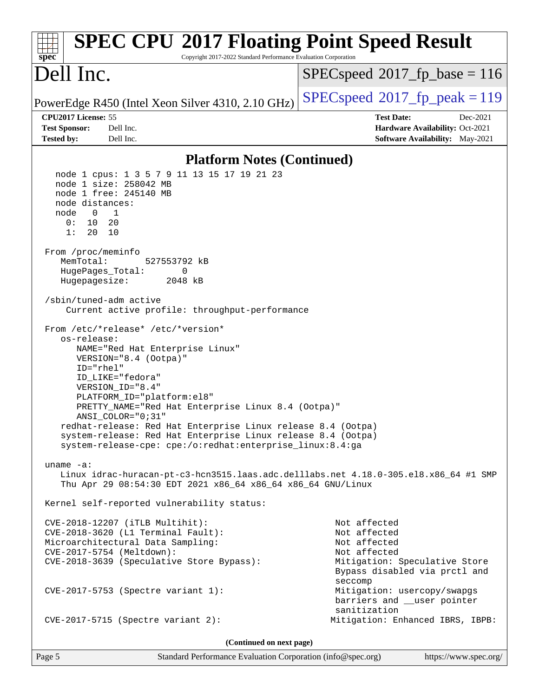| <b>SPEC CPU®2017 Floating Point Speed Result</b><br>Copyright 2017-2022 Standard Performance Evaluation Corporation<br>spec <sup>®</sup>                                                                                                                                                                                                                                                                                                                                                                                                                                                                                                                                                                                                                                                                                                                                                                                                                                                                                                                                                                                                                                                                                                                                               |                                                                                                                                |  |  |  |  |
|----------------------------------------------------------------------------------------------------------------------------------------------------------------------------------------------------------------------------------------------------------------------------------------------------------------------------------------------------------------------------------------------------------------------------------------------------------------------------------------------------------------------------------------------------------------------------------------------------------------------------------------------------------------------------------------------------------------------------------------------------------------------------------------------------------------------------------------------------------------------------------------------------------------------------------------------------------------------------------------------------------------------------------------------------------------------------------------------------------------------------------------------------------------------------------------------------------------------------------------------------------------------------------------|--------------------------------------------------------------------------------------------------------------------------------|--|--|--|--|
| Dell Inc.                                                                                                                                                                                                                                                                                                                                                                                                                                                                                                                                                                                                                                                                                                                                                                                                                                                                                                                                                                                                                                                                                                                                                                                                                                                                              | $SPEC speed^{\circ}2017\_fp\_base = 116$                                                                                       |  |  |  |  |
| PowerEdge R450 (Intel Xeon Silver 4310, 2.10 GHz)                                                                                                                                                                                                                                                                                                                                                                                                                                                                                                                                                                                                                                                                                                                                                                                                                                                                                                                                                                                                                                                                                                                                                                                                                                      | $SPEC speed^{\circ}2017$ _fp_peak = 119                                                                                        |  |  |  |  |
| CPU2017 License: 55                                                                                                                                                                                                                                                                                                                                                                                                                                                                                                                                                                                                                                                                                                                                                                                                                                                                                                                                                                                                                                                                                                                                                                                                                                                                    | <b>Test Date:</b><br>Dec-2021                                                                                                  |  |  |  |  |
| <b>Test Sponsor:</b><br>Dell Inc.                                                                                                                                                                                                                                                                                                                                                                                                                                                                                                                                                                                                                                                                                                                                                                                                                                                                                                                                                                                                                                                                                                                                                                                                                                                      | Hardware Availability: Oct-2021                                                                                                |  |  |  |  |
| <b>Tested by:</b><br>Dell Inc.                                                                                                                                                                                                                                                                                                                                                                                                                                                                                                                                                                                                                                                                                                                                                                                                                                                                                                                                                                                                                                                                                                                                                                                                                                                         | Software Availability: May-2021                                                                                                |  |  |  |  |
| <b>Platform Notes (Continued)</b>                                                                                                                                                                                                                                                                                                                                                                                                                                                                                                                                                                                                                                                                                                                                                                                                                                                                                                                                                                                                                                                                                                                                                                                                                                                      |                                                                                                                                |  |  |  |  |
| node 1 cpus: 1 3 5 7 9 11 13 15 17 19 21 23<br>node 1 size: 258042 MB<br>node 1 free: 245140 MB<br>node distances:<br>node<br>$\overline{\mathbf{0}}$<br>$\mathbf{1}$<br>0:<br>10<br>20<br>1:<br>20<br>10<br>From /proc/meminfo<br>MemTotal:<br>527553792 kB<br>HugePages_Total:<br>0<br>Hugepagesize:<br>2048 kB<br>/sbin/tuned-adm active<br>Current active profile: throughput-performance<br>From /etc/*release* /etc/*version*<br>os-release:<br>NAME="Red Hat Enterprise Linux"<br>VERSION="8.4 (Ootpa)"<br>ID="rhel"<br>ID_LIKE="fedora"<br>VERSION_ID="8.4"<br>PLATFORM_ID="platform:el8"<br>PRETTY_NAME="Red Hat Enterprise Linux 8.4 (Ootpa)"<br>ANSI_COLOR="0;31"<br>redhat-release: Red Hat Enterprise Linux release 8.4 (Ootpa)<br>system-release: Red Hat Enterprise Linux release 8.4 (Ootpa)<br>system-release-cpe: cpe:/o:redhat:enterprise_linux:8.4:ga<br>$uname -a$ :<br>Linux idrac-huracan-pt-c3-hcn3515.laas.adc.delllabs.net 4.18.0-305.el8.x86_64 #1 SMP<br>Thu Apr 29 08:54:30 EDT 2021 x86_64 x86_64 x86_64 GNU/Linux<br>Kernel self-reported vulnerability status:<br>CVE-2018-12207 (iTLB Multihit):<br>CVE-2018-3620 (L1 Terminal Fault):<br>Microarchitectural Data Sampling:<br>CVE-2017-5754 (Meltdown):<br>CVE-2018-3639 (Speculative Store Bypass): | Not affected<br>Not affected<br>Not affected<br>Not affected<br>Mitigation: Speculative Store<br>Bypass disabled via prctl and |  |  |  |  |
| CVE-2017-5753 (Spectre variant 1):                                                                                                                                                                                                                                                                                                                                                                                                                                                                                                                                                                                                                                                                                                                                                                                                                                                                                                                                                                                                                                                                                                                                                                                                                                                     | seccomp<br>Mitigation: usercopy/swapgs<br>barriers and __user pointer                                                          |  |  |  |  |
| $CVE-2017-5715$ (Spectre variant 2):                                                                                                                                                                                                                                                                                                                                                                                                                                                                                                                                                                                                                                                                                                                                                                                                                                                                                                                                                                                                                                                                                                                                                                                                                                                   | sanitization<br>Mitigation: Enhanced IBRS, IBPB:                                                                               |  |  |  |  |
| (Continued on next page)                                                                                                                                                                                                                                                                                                                                                                                                                                                                                                                                                                                                                                                                                                                                                                                                                                                                                                                                                                                                                                                                                                                                                                                                                                                               |                                                                                                                                |  |  |  |  |

Page 5 Standard Performance Evaluation Corporation [\(info@spec.org\)](mailto:info@spec.org) <https://www.spec.org/>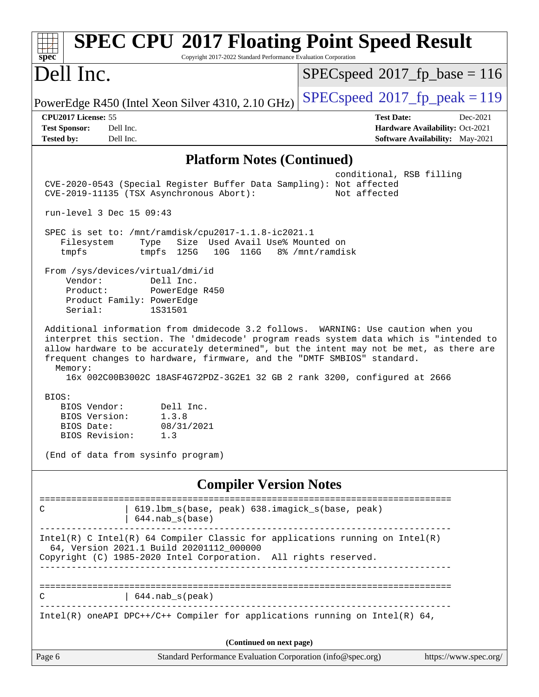| <b>SPEC CPU®2017 Floating Point Speed Result</b><br>Copyright 2017-2022 Standard Performance Evaluation Corporation<br>spec <sup>®</sup>                                                                                                                                                                                                                                                                                                   |                                                                                                            |
|--------------------------------------------------------------------------------------------------------------------------------------------------------------------------------------------------------------------------------------------------------------------------------------------------------------------------------------------------------------------------------------------------------------------------------------------|------------------------------------------------------------------------------------------------------------|
| Dell Inc.                                                                                                                                                                                                                                                                                                                                                                                                                                  | $SPEC speed^{\circ}2017\_fp\_base = 116$                                                                   |
| PowerEdge R450 (Intel Xeon Silver 4310, 2.10 GHz)                                                                                                                                                                                                                                                                                                                                                                                          | $SPEC speed^{\circ}2017$ fp peak = 119                                                                     |
| CPU2017 License: 55<br>Dell Inc.<br><b>Test Sponsor:</b><br><b>Tested by:</b><br>Dell Inc.                                                                                                                                                                                                                                                                                                                                                 | <b>Test Date:</b><br>Dec-2021<br>Hardware Availability: Oct-2021<br><b>Software Availability:</b> May-2021 |
| <b>Platform Notes (Continued)</b>                                                                                                                                                                                                                                                                                                                                                                                                          |                                                                                                            |
| CVE-2020-0543 (Special Register Buffer Data Sampling): Not affected<br>CVE-2019-11135 (TSX Asynchronous Abort):                                                                                                                                                                                                                                                                                                                            | conditional, RSB filling<br>Not affected                                                                   |
| run-level 3 Dec 15 09:43                                                                                                                                                                                                                                                                                                                                                                                                                   |                                                                                                            |
| SPEC is set to: /mnt/ramdisk/cpu2017-1.1.8-ic2021.1<br>Size Used Avail Use% Mounted on<br>Filesystem<br>Type<br>tmpfs<br>tmpfs 125G<br>10G 116G                                                                                                                                                                                                                                                                                            | 8% /mnt/ramdisk                                                                                            |
| From /sys/devices/virtual/dmi/id<br>Vendor:<br>Dell Inc.<br>Product:<br>PowerEdge R450<br>Product Family: PowerEdge<br>Serial:<br>1S31501                                                                                                                                                                                                                                                                                                  |                                                                                                            |
| Additional information from dmidecode 3.2 follows. WARNING: Use caution when you<br>interpret this section. The 'dmidecode' program reads system data which is "intended to<br>allow hardware to be accurately determined", but the intent may not be met, as there are<br>frequent changes to hardware, firmware, and the "DMTF SMBIOS" standard.<br>Memory:<br>16x 002C00B3002C 18ASF4G72PDZ-3G2E1 32 GB 2 rank 3200, configured at 2666 |                                                                                                            |
| BIOS:<br>BIOS Vendor:<br>Dell Inc.<br>BIOS Version:<br>1.3.8<br>BIOS Date:<br>08/31/2021<br>BIOS Revision:<br>1.3                                                                                                                                                                                                                                                                                                                          |                                                                                                            |
| (End of data from sysinfo program)                                                                                                                                                                                                                                                                                                                                                                                                         |                                                                                                            |
| <b>Compiler Version Notes</b>                                                                                                                                                                                                                                                                                                                                                                                                              |                                                                                                            |
| 619.1bm_s(base, peak) 638.imagick_s(base, peak)<br>C.<br>$644.nab_s(base)$                                                                                                                                                                                                                                                                                                                                                                 |                                                                                                            |
| Intel(R) C Intel(R) 64 Compiler Classic for applications running on $Intel(R)$<br>64, Version 2021.1 Build 20201112_000000<br>Copyright (C) 1985-2020 Intel Corporation. All rights reserved.                                                                                                                                                                                                                                              |                                                                                                            |
| $644.nab_s(peak)$<br>C.                                                                                                                                                                                                                                                                                                                                                                                                                    |                                                                                                            |
| Intel(R) oneAPI DPC++/C++ Compiler for applications running on Intel(R) 64,                                                                                                                                                                                                                                                                                                                                                                |                                                                                                            |
| (Continued on next page)                                                                                                                                                                                                                                                                                                                                                                                                                   |                                                                                                            |
| Page 6<br>Standard Performance Evaluation Corporation (info@spec.org)                                                                                                                                                                                                                                                                                                                                                                      | https://www.spec.org/                                                                                      |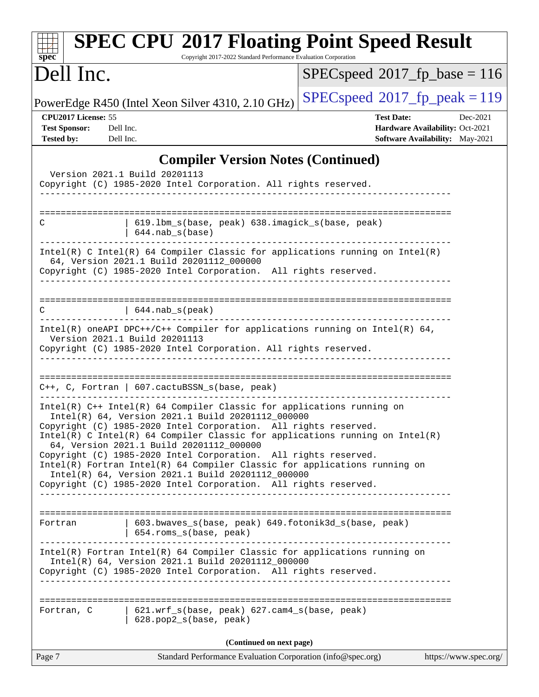| $spec^*$                                                                                   | <b>SPEC CPU®2017 Floating Point Speed Result</b><br>Copyright 2017-2022 Standard Performance Evaluation Corporation                                                                                                                                                                                                                                                                                                                                                                                                                                                                                                        |                                          |                                                                                |  |
|--------------------------------------------------------------------------------------------|----------------------------------------------------------------------------------------------------------------------------------------------------------------------------------------------------------------------------------------------------------------------------------------------------------------------------------------------------------------------------------------------------------------------------------------------------------------------------------------------------------------------------------------------------------------------------------------------------------------------------|------------------------------------------|--------------------------------------------------------------------------------|--|
| Dell Inc.                                                                                  |                                                                                                                                                                                                                                                                                                                                                                                                                                                                                                                                                                                                                            | $SPEC speed^{\circ}2017\_fp\_base = 116$ |                                                                                |  |
|                                                                                            | PowerEdge R450 (Intel Xeon Silver 4310, 2.10 GHz)                                                                                                                                                                                                                                                                                                                                                                                                                                                                                                                                                                          | $SPEC speed^{\circ}2017$ fp peak = 119   |                                                                                |  |
| CPU2017 License: 55<br><b>Test Sponsor:</b><br>Dell Inc.<br><b>Tested by:</b><br>Dell Inc. |                                                                                                                                                                                                                                                                                                                                                                                                                                                                                                                                                                                                                            | <b>Test Date:</b>                        | Dec-2021<br>Hardware Availability: Oct-2021<br>Software Availability: May-2021 |  |
| Version 2021.1 Build 20201113                                                              | <b>Compiler Version Notes (Continued)</b><br>Copyright (C) 1985-2020 Intel Corporation. All rights reserved.                                                                                                                                                                                                                                                                                                                                                                                                                                                                                                               |                                          |                                                                                |  |
| С                                                                                          | 619.1bm_s(base, peak) 638.imagick_s(base, peak)<br>$644.nab_s(base)$                                                                                                                                                                                                                                                                                                                                                                                                                                                                                                                                                       |                                          |                                                                                |  |
|                                                                                            | $Intel(R)$ C Intel(R) 64 Compiler Classic for applications running on Intel(R)<br>64, Version 2021.1 Build 20201112_000000<br>Copyright (C) 1985-2020 Intel Corporation. All rights reserved.                                                                                                                                                                                                                                                                                                                                                                                                                              |                                          |                                                                                |  |
| C                                                                                          | $\vert$ 644. nab_s(peak)                                                                                                                                                                                                                                                                                                                                                                                                                                                                                                                                                                                                   |                                          |                                                                                |  |
| Version 2021.1 Build 20201113                                                              | Intel(R) oneAPI DPC++/C++ Compiler for applications running on Intel(R) $64$ ,<br>Copyright (C) 1985-2020 Intel Corporation. All rights reserved.                                                                                                                                                                                                                                                                                                                                                                                                                                                                          |                                          |                                                                                |  |
|                                                                                            | $C++$ , C, Fortran   607.cactuBSSN_s(base, peak)                                                                                                                                                                                                                                                                                                                                                                                                                                                                                                                                                                           |                                          |                                                                                |  |
|                                                                                            | Intel(R) C++ Intel(R) 64 Compiler Classic for applications running on<br>Intel(R) 64, Version 2021.1 Build 20201112_000000<br>Copyright (C) 1985-2020 Intel Corporation. All rights reserved.<br>$Intel(R)$ C Intel(R) 64 Compiler Classic for applications running on Intel(R)<br>64, Version 2021.1 Build 20201112_000000<br>Copyright (C) 1985-2020 Intel Corporation. All rights reserved.<br>Intel(R) Fortran Intel(R) 64 Compiler Classic for applications running on<br>Intel(R) 64, Version 2021.1 Build 20201112_000000<br>Copyright (C) 1985-2020 Intel Corporation. All rights reserved.<br>___________________ |                                          |                                                                                |  |
| 603.bwaves_s(base, peak) 649.fotonik3d_s(base, peak)<br>Fortran<br>654.roms_s(base, peak)  |                                                                                                                                                                                                                                                                                                                                                                                                                                                                                                                                                                                                                            |                                          |                                                                                |  |
|                                                                                            | Intel(R) Fortran Intel(R) 64 Compiler Classic for applications running on<br>Intel(R) 64, Version 2021.1 Build 20201112_000000<br>Copyright (C) 1985-2020 Intel Corporation. All rights reserved.                                                                                                                                                                                                                                                                                                                                                                                                                          |                                          |                                                                                |  |
| Fortran, C                                                                                 | 621.wrf_s(base, peak) 627.cam4_s(base, peak)<br>628.pop2_s(base, peak)                                                                                                                                                                                                                                                                                                                                                                                                                                                                                                                                                     |                                          |                                                                                |  |
|                                                                                            | (Continued on next page)                                                                                                                                                                                                                                                                                                                                                                                                                                                                                                                                                                                                   |                                          |                                                                                |  |
| Page 7                                                                                     | Standard Performance Evaluation Corporation (info@spec.org)                                                                                                                                                                                                                                                                                                                                                                                                                                                                                                                                                                |                                          | https://www.spec.org/                                                          |  |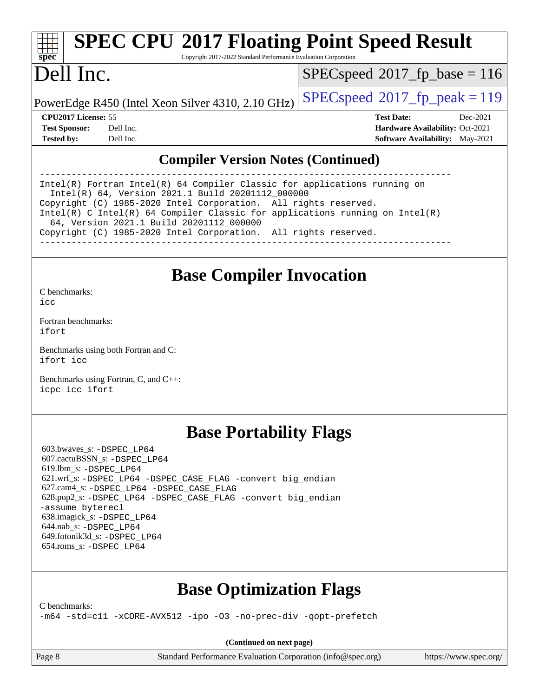# **[spec](http://www.spec.org/)**

# **[SPEC CPU](http://www.spec.org/auto/cpu2017/Docs/result-fields.html#SPECCPU2017FloatingPointSpeedResult)[2017 Floating Point Speed Result](http://www.spec.org/auto/cpu2017/Docs/result-fields.html#SPECCPU2017FloatingPointSpeedResult)**

Copyright 2017-2022 Standard Performance Evaluation Corporation

# Dell Inc.

[SPECspeed](http://www.spec.org/auto/cpu2017/Docs/result-fields.html#SPECspeed2017fpbase)<sup>®</sup>2017 fp base = 116

PowerEdge R450 (Intel Xeon Silver 4310, 2.10 GHz)  $\left|$  [SPECspeed](http://www.spec.org/auto/cpu2017/Docs/result-fields.html#SPECspeed2017fppeak)®[2017\\_fp\\_peak = 1](http://www.spec.org/auto/cpu2017/Docs/result-fields.html#SPECspeed2017fppeak)19

**[CPU2017 License:](http://www.spec.org/auto/cpu2017/Docs/result-fields.html#CPU2017License)** 55 **[Test Date:](http://www.spec.org/auto/cpu2017/Docs/result-fields.html#TestDate)** Dec-2021 **[Test Sponsor:](http://www.spec.org/auto/cpu2017/Docs/result-fields.html#TestSponsor)** Dell Inc. **[Hardware Availability:](http://www.spec.org/auto/cpu2017/Docs/result-fields.html#HardwareAvailability)** Oct-2021 **[Tested by:](http://www.spec.org/auto/cpu2017/Docs/result-fields.html#Testedby)** Dell Inc. **[Software Availability:](http://www.spec.org/auto/cpu2017/Docs/result-fields.html#SoftwareAvailability)** May-2021

### **[Compiler Version Notes \(Continued\)](http://www.spec.org/auto/cpu2017/Docs/result-fields.html#CompilerVersionNotes)**

------------------------------------------------------------------------------ Intel(R) Fortran Intel(R) 64 Compiler Classic for applications running on Intel(R) 64, Version 2021.1 Build 20201112\_000000 Copyright (C) 1985-2020 Intel Corporation. All rights reserved. Intel(R) C Intel(R) 64 Compiler Classic for applications running on Intel(R) 64, Version 2021.1 Build 20201112\_000000 Copyright (C) 1985-2020 Intel Corporation. All rights reserved. ------------------------------------------------------------------------------

### **[Base Compiler Invocation](http://www.spec.org/auto/cpu2017/Docs/result-fields.html#BaseCompilerInvocation)**

[C benchmarks](http://www.spec.org/auto/cpu2017/Docs/result-fields.html#Cbenchmarks):  $i$ cc

[Fortran benchmarks](http://www.spec.org/auto/cpu2017/Docs/result-fields.html#Fortranbenchmarks): [ifort](http://www.spec.org/cpu2017/results/res2022q1/cpu2017-20211215-30428.flags.html#user_FCbase_intel_ifort_8111460550e3ca792625aed983ce982f94888b8b503583aa7ba2b8303487b4d8a21a13e7191a45c5fd58ff318f48f9492884d4413fa793fd88dd292cad7027ca)

[Benchmarks using both Fortran and C](http://www.spec.org/auto/cpu2017/Docs/result-fields.html#BenchmarksusingbothFortranandC): [ifort](http://www.spec.org/cpu2017/results/res2022q1/cpu2017-20211215-30428.flags.html#user_CC_FCbase_intel_ifort_8111460550e3ca792625aed983ce982f94888b8b503583aa7ba2b8303487b4d8a21a13e7191a45c5fd58ff318f48f9492884d4413fa793fd88dd292cad7027ca) [icc](http://www.spec.org/cpu2017/results/res2022q1/cpu2017-20211215-30428.flags.html#user_CC_FCbase_intel_icc_66fc1ee009f7361af1fbd72ca7dcefbb700085f36577c54f309893dd4ec40d12360134090235512931783d35fd58c0460139e722d5067c5574d8eaf2b3e37e92)

[Benchmarks using Fortran, C, and C++:](http://www.spec.org/auto/cpu2017/Docs/result-fields.html#BenchmarksusingFortranCandCXX) [icpc](http://www.spec.org/cpu2017/results/res2022q1/cpu2017-20211215-30428.flags.html#user_CC_CXX_FCbase_intel_icpc_c510b6838c7f56d33e37e94d029a35b4a7bccf4766a728ee175e80a419847e808290a9b78be685c44ab727ea267ec2f070ec5dc83b407c0218cded6866a35d07) [icc](http://www.spec.org/cpu2017/results/res2022q1/cpu2017-20211215-30428.flags.html#user_CC_CXX_FCbase_intel_icc_66fc1ee009f7361af1fbd72ca7dcefbb700085f36577c54f309893dd4ec40d12360134090235512931783d35fd58c0460139e722d5067c5574d8eaf2b3e37e92) [ifort](http://www.spec.org/cpu2017/results/res2022q1/cpu2017-20211215-30428.flags.html#user_CC_CXX_FCbase_intel_ifort_8111460550e3ca792625aed983ce982f94888b8b503583aa7ba2b8303487b4d8a21a13e7191a45c5fd58ff318f48f9492884d4413fa793fd88dd292cad7027ca)

## **[Base Portability Flags](http://www.spec.org/auto/cpu2017/Docs/result-fields.html#BasePortabilityFlags)**

 603.bwaves\_s: [-DSPEC\\_LP64](http://www.spec.org/cpu2017/results/res2022q1/cpu2017-20211215-30428.flags.html#suite_basePORTABILITY603_bwaves_s_DSPEC_LP64) 607.cactuBSSN\_s: [-DSPEC\\_LP64](http://www.spec.org/cpu2017/results/res2022q1/cpu2017-20211215-30428.flags.html#suite_basePORTABILITY607_cactuBSSN_s_DSPEC_LP64) 619.lbm\_s: [-DSPEC\\_LP64](http://www.spec.org/cpu2017/results/res2022q1/cpu2017-20211215-30428.flags.html#suite_basePORTABILITY619_lbm_s_DSPEC_LP64) 621.wrf\_s: [-DSPEC\\_LP64](http://www.spec.org/cpu2017/results/res2022q1/cpu2017-20211215-30428.flags.html#suite_basePORTABILITY621_wrf_s_DSPEC_LP64) [-DSPEC\\_CASE\\_FLAG](http://www.spec.org/cpu2017/results/res2022q1/cpu2017-20211215-30428.flags.html#b621.wrf_s_baseCPORTABILITY_DSPEC_CASE_FLAG) [-convert big\\_endian](http://www.spec.org/cpu2017/results/res2022q1/cpu2017-20211215-30428.flags.html#user_baseFPORTABILITY621_wrf_s_convert_big_endian_c3194028bc08c63ac5d04de18c48ce6d347e4e562e8892b8bdbdc0214820426deb8554edfa529a3fb25a586e65a3d812c835984020483e7e73212c4d31a38223) 627.cam4\_s: [-DSPEC\\_LP64](http://www.spec.org/cpu2017/results/res2022q1/cpu2017-20211215-30428.flags.html#suite_basePORTABILITY627_cam4_s_DSPEC_LP64) [-DSPEC\\_CASE\\_FLAG](http://www.spec.org/cpu2017/results/res2022q1/cpu2017-20211215-30428.flags.html#b627.cam4_s_baseCPORTABILITY_DSPEC_CASE_FLAG) 628.pop2\_s: [-DSPEC\\_LP64](http://www.spec.org/cpu2017/results/res2022q1/cpu2017-20211215-30428.flags.html#suite_basePORTABILITY628_pop2_s_DSPEC_LP64) [-DSPEC\\_CASE\\_FLAG](http://www.spec.org/cpu2017/results/res2022q1/cpu2017-20211215-30428.flags.html#b628.pop2_s_baseCPORTABILITY_DSPEC_CASE_FLAG) [-convert big\\_endian](http://www.spec.org/cpu2017/results/res2022q1/cpu2017-20211215-30428.flags.html#user_baseFPORTABILITY628_pop2_s_convert_big_endian_c3194028bc08c63ac5d04de18c48ce6d347e4e562e8892b8bdbdc0214820426deb8554edfa529a3fb25a586e65a3d812c835984020483e7e73212c4d31a38223) [-assume byterecl](http://www.spec.org/cpu2017/results/res2022q1/cpu2017-20211215-30428.flags.html#user_baseFPORTABILITY628_pop2_s_assume_byterecl_7e47d18b9513cf18525430bbf0f2177aa9bf368bc7a059c09b2c06a34b53bd3447c950d3f8d6c70e3faf3a05c8557d66a5798b567902e8849adc142926523472) 638.imagick\_s: [-DSPEC\\_LP64](http://www.spec.org/cpu2017/results/res2022q1/cpu2017-20211215-30428.flags.html#suite_basePORTABILITY638_imagick_s_DSPEC_LP64) 644.nab\_s: [-DSPEC\\_LP64](http://www.spec.org/cpu2017/results/res2022q1/cpu2017-20211215-30428.flags.html#suite_basePORTABILITY644_nab_s_DSPEC_LP64) 649.fotonik3d\_s: [-DSPEC\\_LP64](http://www.spec.org/cpu2017/results/res2022q1/cpu2017-20211215-30428.flags.html#suite_basePORTABILITY649_fotonik3d_s_DSPEC_LP64) 654.roms\_s: [-DSPEC\\_LP64](http://www.spec.org/cpu2017/results/res2022q1/cpu2017-20211215-30428.flags.html#suite_basePORTABILITY654_roms_s_DSPEC_LP64)

# **[Base Optimization Flags](http://www.spec.org/auto/cpu2017/Docs/result-fields.html#BaseOptimizationFlags)**

[C benchmarks](http://www.spec.org/auto/cpu2017/Docs/result-fields.html#Cbenchmarks):

[-m64](http://www.spec.org/cpu2017/results/res2022q1/cpu2017-20211215-30428.flags.html#user_CCbase_m64-icc) [-std=c11](http://www.spec.org/cpu2017/results/res2022q1/cpu2017-20211215-30428.flags.html#user_CCbase_std-icc-std_0e1c27790398a4642dfca32ffe6c27b5796f9c2d2676156f2e42c9c44eaad0c049b1cdb667a270c34d979996257aeb8fc440bfb01818dbc9357bd9d174cb8524) [-xCORE-AVX512](http://www.spec.org/cpu2017/results/res2022q1/cpu2017-20211215-30428.flags.html#user_CCbase_f-xCORE-AVX512) [-ipo](http://www.spec.org/cpu2017/results/res2022q1/cpu2017-20211215-30428.flags.html#user_CCbase_f-ipo) [-O3](http://www.spec.org/cpu2017/results/res2022q1/cpu2017-20211215-30428.flags.html#user_CCbase_f-O3) [-no-prec-div](http://www.spec.org/cpu2017/results/res2022q1/cpu2017-20211215-30428.flags.html#user_CCbase_f-no-prec-div) [-qopt-prefetch](http://www.spec.org/cpu2017/results/res2022q1/cpu2017-20211215-30428.flags.html#user_CCbase_f-qopt-prefetch)

**(Continued on next page)**

Page 8 Standard Performance Evaluation Corporation [\(info@spec.org\)](mailto:info@spec.org) <https://www.spec.org/>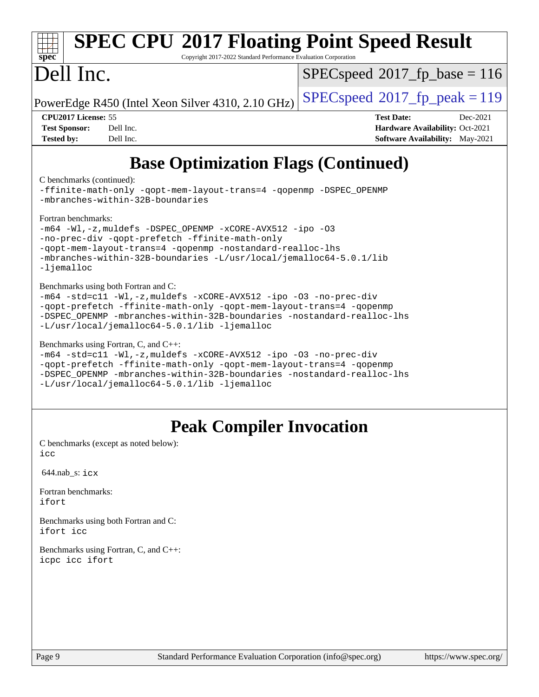#### **[spec](http://www.spec.org/) [SPEC CPU](http://www.spec.org/auto/cpu2017/Docs/result-fields.html#SPECCPU2017FloatingPointSpeedResult)[2017 Floating Point Speed Result](http://www.spec.org/auto/cpu2017/Docs/result-fields.html#SPECCPU2017FloatingPointSpeedResult)** Copyright 2017-2022 Standard Performance Evaluation Corporation Dell Inc. PowerEdge R450 (Intel Xeon Silver 4310, 2.10 GHz)  $\left|$  [SPECspeed](http://www.spec.org/auto/cpu2017/Docs/result-fields.html#SPECspeed2017fppeak)®[2017\\_fp\\_peak = 1](http://www.spec.org/auto/cpu2017/Docs/result-fields.html#SPECspeed2017fppeak)19 [SPECspeed](http://www.spec.org/auto/cpu2017/Docs/result-fields.html#SPECspeed2017fpbase)<sup>®</sup>2017 fp base = 116 **[CPU2017 License:](http://www.spec.org/auto/cpu2017/Docs/result-fields.html#CPU2017License)** 55 **[Test Date:](http://www.spec.org/auto/cpu2017/Docs/result-fields.html#TestDate)** Dec-2021 **[Test Sponsor:](http://www.spec.org/auto/cpu2017/Docs/result-fields.html#TestSponsor)** Dell Inc. **[Hardware Availability:](http://www.spec.org/auto/cpu2017/Docs/result-fields.html#HardwareAvailability)** Oct-2021 **[Tested by:](http://www.spec.org/auto/cpu2017/Docs/result-fields.html#Testedby)** Dell Inc. **[Software Availability:](http://www.spec.org/auto/cpu2017/Docs/result-fields.html#SoftwareAvailability)** May-2021 **[Base Optimization Flags \(Continued\)](http://www.spec.org/auto/cpu2017/Docs/result-fields.html#BaseOptimizationFlags)** [C benchmarks](http://www.spec.org/auto/cpu2017/Docs/result-fields.html#Cbenchmarks) (continued): [-ffinite-math-only](http://www.spec.org/cpu2017/results/res2022q1/cpu2017-20211215-30428.flags.html#user_CCbase_f_finite_math_only_cb91587bd2077682c4b38af759c288ed7c732db004271a9512da14a4f8007909a5f1427ecbf1a0fb78ff2a814402c6114ac565ca162485bbcae155b5e4258871) [-qopt-mem-layout-trans=4](http://www.spec.org/cpu2017/results/res2022q1/cpu2017-20211215-30428.flags.html#user_CCbase_f-qopt-mem-layout-trans_fa39e755916c150a61361b7846f310bcdf6f04e385ef281cadf3647acec3f0ae266d1a1d22d972a7087a248fd4e6ca390a3634700869573d231a252c784941a8) [-qopenmp](http://www.spec.org/cpu2017/results/res2022q1/cpu2017-20211215-30428.flags.html#user_CCbase_qopenmp_16be0c44f24f464004c6784a7acb94aca937f053568ce72f94b139a11c7c168634a55f6653758ddd83bcf7b8463e8028bb0b48b77bcddc6b78d5d95bb1df2967) [-DSPEC\\_OPENMP](http://www.spec.org/cpu2017/results/res2022q1/cpu2017-20211215-30428.flags.html#suite_CCbase_DSPEC_OPENMP) [-mbranches-within-32B-boundaries](http://www.spec.org/cpu2017/results/res2022q1/cpu2017-20211215-30428.flags.html#user_CCbase_f-mbranches-within-32B-boundaries)

[Fortran benchmarks](http://www.spec.org/auto/cpu2017/Docs/result-fields.html#Fortranbenchmarks):

```
-m64-Wl,-z,muldefs-xCORE-AVX512-ipo-O3
-no-prec-div -qopt-prefetch -ffinite-math-only
-qopt-mem-layout-trans=4 -qopenmp -nostandard-realloc-lhs
-mbranches-within-32B-boundaries -L/usr/local/jemalloc64-5.0.1/lib
-liemalloc
```
[Benchmarks using both Fortran and C](http://www.spec.org/auto/cpu2017/Docs/result-fields.html#BenchmarksusingbothFortranandC):

```
-m64 -std=c11 -Wl,-z,muldefs -xCORE-AVX512 -ipo -O3 -no-prec-div
-qopt-prefetch -ffinite-math-only -qopt-mem-layout-trans=4 -qopenmp
-DSPEC_OPENMP -mbranches-within-32B-boundaries -nostandard-realloc-lhs
-L/usr/local/jemalloc64-5.0.1/lib -ljemalloc
```
[Benchmarks using Fortran, C, and C++:](http://www.spec.org/auto/cpu2017/Docs/result-fields.html#BenchmarksusingFortranCandCXX)

```
-m64 -std=c11 -Wl,-z,muldefs -xCORE-AVX512 -ipo -O3 -no-prec-div
-qopt-prefetch -ffinite-math-only -qopt-mem-layout-trans=4 -qopenmp
-DSPEC_OPENMP -mbranches-within-32B-boundaries -nostandard-realloc-lhs
-L/usr/local/jemalloc64-5.0.1/lib -ljemalloc
```
# **[Peak Compiler Invocation](http://www.spec.org/auto/cpu2017/Docs/result-fields.html#PeakCompilerInvocation)**

[C benchmarks \(except as noted below\)](http://www.spec.org/auto/cpu2017/Docs/result-fields.html#Cbenchmarksexceptasnotedbelow): [icc](http://www.spec.org/cpu2017/results/res2022q1/cpu2017-20211215-30428.flags.html#user_CCpeak_intel_icc_66fc1ee009f7361af1fbd72ca7dcefbb700085f36577c54f309893dd4ec40d12360134090235512931783d35fd58c0460139e722d5067c5574d8eaf2b3e37e92)

644.nab\_s: [icx](http://www.spec.org/cpu2017/results/res2022q1/cpu2017-20211215-30428.flags.html#user_peakCCLD644_nab_s_intel_icx_fe2d28d19ae2a5db7c42fe0f2a2aed77cb715edd4aeb23434404a8be6683fe239869bb6ca8154ca98265c2e3b9226a719a0efe2953a4a7018c379b7010ccf087)

[Fortran benchmarks](http://www.spec.org/auto/cpu2017/Docs/result-fields.html#Fortranbenchmarks): [ifort](http://www.spec.org/cpu2017/results/res2022q1/cpu2017-20211215-30428.flags.html#user_FCpeak_intel_ifort_8111460550e3ca792625aed983ce982f94888b8b503583aa7ba2b8303487b4d8a21a13e7191a45c5fd58ff318f48f9492884d4413fa793fd88dd292cad7027ca)

[Benchmarks using both Fortran and C](http://www.spec.org/auto/cpu2017/Docs/result-fields.html#BenchmarksusingbothFortranandC): [ifort](http://www.spec.org/cpu2017/results/res2022q1/cpu2017-20211215-30428.flags.html#user_CC_FCpeak_intel_ifort_8111460550e3ca792625aed983ce982f94888b8b503583aa7ba2b8303487b4d8a21a13e7191a45c5fd58ff318f48f9492884d4413fa793fd88dd292cad7027ca) [icc](http://www.spec.org/cpu2017/results/res2022q1/cpu2017-20211215-30428.flags.html#user_CC_FCpeak_intel_icc_66fc1ee009f7361af1fbd72ca7dcefbb700085f36577c54f309893dd4ec40d12360134090235512931783d35fd58c0460139e722d5067c5574d8eaf2b3e37e92)

[Benchmarks using Fortran, C, and C++:](http://www.spec.org/auto/cpu2017/Docs/result-fields.html#BenchmarksusingFortranCandCXX) [icpc](http://www.spec.org/cpu2017/results/res2022q1/cpu2017-20211215-30428.flags.html#user_CC_CXX_FCpeak_intel_icpc_c510b6838c7f56d33e37e94d029a35b4a7bccf4766a728ee175e80a419847e808290a9b78be685c44ab727ea267ec2f070ec5dc83b407c0218cded6866a35d07) [icc](http://www.spec.org/cpu2017/results/res2022q1/cpu2017-20211215-30428.flags.html#user_CC_CXX_FCpeak_intel_icc_66fc1ee009f7361af1fbd72ca7dcefbb700085f36577c54f309893dd4ec40d12360134090235512931783d35fd58c0460139e722d5067c5574d8eaf2b3e37e92) [ifort](http://www.spec.org/cpu2017/results/res2022q1/cpu2017-20211215-30428.flags.html#user_CC_CXX_FCpeak_intel_ifort_8111460550e3ca792625aed983ce982f94888b8b503583aa7ba2b8303487b4d8a21a13e7191a45c5fd58ff318f48f9492884d4413fa793fd88dd292cad7027ca)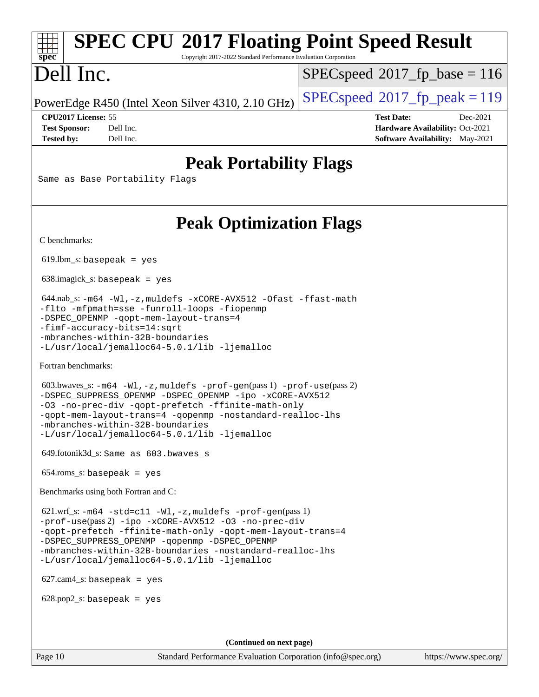# **[SPEC CPU](http://www.spec.org/auto/cpu2017/Docs/result-fields.html#SPECCPU2017FloatingPointSpeedResult)[2017 Floating Point Speed Result](http://www.spec.org/auto/cpu2017/Docs/result-fields.html#SPECCPU2017FloatingPointSpeedResult)**

Copyright 2017-2022 Standard Performance Evaluation Corporation

# Dell Inc.

**[spec](http://www.spec.org/)**

[SPECspeed](http://www.spec.org/auto/cpu2017/Docs/result-fields.html#SPECspeed2017fpbase)<sup>®</sup>2017 fp base = 116

PowerEdge R450 (Intel Xeon Silver 4310, 2.10 GHz)  $\left|$  [SPECspeed](http://www.spec.org/auto/cpu2017/Docs/result-fields.html#SPECspeed2017fppeak)<sup>®</sup>[2017\\_fp\\_peak = 1](http://www.spec.org/auto/cpu2017/Docs/result-fields.html#SPECspeed2017fppeak)19

**[CPU2017 License:](http://www.spec.org/auto/cpu2017/Docs/result-fields.html#CPU2017License)** 55 **[Test Date:](http://www.spec.org/auto/cpu2017/Docs/result-fields.html#TestDate)** Dec-2021 **[Test Sponsor:](http://www.spec.org/auto/cpu2017/Docs/result-fields.html#TestSponsor)** Dell Inc. **[Hardware Availability:](http://www.spec.org/auto/cpu2017/Docs/result-fields.html#HardwareAvailability)** Oct-2021 **[Tested by:](http://www.spec.org/auto/cpu2017/Docs/result-fields.html#Testedby)** Dell Inc. **[Software Availability:](http://www.spec.org/auto/cpu2017/Docs/result-fields.html#SoftwareAvailability)** May-2021

## **[Peak Portability Flags](http://www.spec.org/auto/cpu2017/Docs/result-fields.html#PeakPortabilityFlags)**

Same as Base Portability Flags

# **[Peak Optimization Flags](http://www.spec.org/auto/cpu2017/Docs/result-fields.html#PeakOptimizationFlags)**

[C benchmarks](http://www.spec.org/auto/cpu2017/Docs/result-fields.html#Cbenchmarks):

 $619.$ lbm\_s: basepeak = yes

638.imagick\_s: basepeak = yes

 644.nab\_s: [-m64](http://www.spec.org/cpu2017/results/res2022q1/cpu2017-20211215-30428.flags.html#user_peakCCLD644_nab_s_m64-icc) [-Wl,-z,muldefs](http://www.spec.org/cpu2017/results/res2022q1/cpu2017-20211215-30428.flags.html#user_peakEXTRA_LDFLAGS644_nab_s_link_force_multiple1_b4cbdb97b34bdee9ceefcfe54f4c8ea74255f0b02a4b23e853cdb0e18eb4525ac79b5a88067c842dd0ee6996c24547a27a4b99331201badda8798ef8a743f577) [-xCORE-AVX512](http://www.spec.org/cpu2017/results/res2022q1/cpu2017-20211215-30428.flags.html#user_peakCOPTIMIZE644_nab_s_f-xCORE-AVX512) [-Ofast](http://www.spec.org/cpu2017/results/res2022q1/cpu2017-20211215-30428.flags.html#user_peakCOPTIMIZE644_nab_s_f-Ofast) [-ffast-math](http://www.spec.org/cpu2017/results/res2022q1/cpu2017-20211215-30428.flags.html#user_peakCOPTIMIZE644_nab_s_f-ffast-math) [-flto](http://www.spec.org/cpu2017/results/res2022q1/cpu2017-20211215-30428.flags.html#user_peakCOPTIMIZE644_nab_s_f-flto) [-mfpmath=sse](http://www.spec.org/cpu2017/results/res2022q1/cpu2017-20211215-30428.flags.html#user_peakCOPTIMIZE644_nab_s_f-mfpmath_70eb8fac26bde974f8ab713bc9086c5621c0b8d2f6c86f38af0bd7062540daf19db5f3a066d8c6684be05d84c9b6322eb3b5be6619d967835195b93d6c02afa1) [-funroll-loops](http://www.spec.org/cpu2017/results/res2022q1/cpu2017-20211215-30428.flags.html#user_peakCOPTIMIZE644_nab_s_f-funroll-loops) [-fiopenmp](http://www.spec.org/cpu2017/results/res2022q1/cpu2017-20211215-30428.flags.html#user_peakCOPTIMIZE644_nab_s_fiopenmp_4cde26b3fcccd23bd0bb70af4efc204325d72839eefa1147e34201101709f20b3deb62aad96701dea148529bf4ca48c90b72f3bf837ca148e297cf8a0ba6feb7) [-DSPEC\\_OPENMP](http://www.spec.org/cpu2017/results/res2022q1/cpu2017-20211215-30428.flags.html#suite_peakCOPTIMIZE644_nab_s_DSPEC_OPENMP) [-qopt-mem-layout-trans=4](http://www.spec.org/cpu2017/results/res2022q1/cpu2017-20211215-30428.flags.html#user_peakCOPTIMIZE644_nab_s_f-qopt-mem-layout-trans_fa39e755916c150a61361b7846f310bcdf6f04e385ef281cadf3647acec3f0ae266d1a1d22d972a7087a248fd4e6ca390a3634700869573d231a252c784941a8) [-fimf-accuracy-bits=14:sqrt](http://www.spec.org/cpu2017/results/res2022q1/cpu2017-20211215-30428.flags.html#user_peakEXTRA_OPTIMIZE644_nab_s_f-imf-accuracy-bits_dec3764af0c61f52590ca8f859bc2b38948cb3a9f4bd45f959a8dd6743142ff5c0d5c89fdfba8d7c6d41a5122d7dc4d32797a5effd20a981baa30839b7373d7d) [-mbranches-within-32B-boundaries](http://www.spec.org/cpu2017/results/res2022q1/cpu2017-20211215-30428.flags.html#user_peakEXTRA_COPTIMIZEEXTRA_OPTIMIZE644_nab_s_f-mbranches-within-32B-boundaries) [-L/usr/local/jemalloc64-5.0.1/lib](http://www.spec.org/cpu2017/results/res2022q1/cpu2017-20211215-30428.flags.html#user_peakEXTRA_LIBS644_nab_s_jemalloc_link_path64_1_cc289568b1a6c0fd3b62c91b824c27fcb5af5e8098e6ad028160d21144ef1b8aef3170d2acf0bee98a8da324cfe4f67d0a3d0c4cc4673d993d694dc2a0df248b) [-ljemalloc](http://www.spec.org/cpu2017/results/res2022q1/cpu2017-20211215-30428.flags.html#user_peakEXTRA_LIBS644_nab_s_jemalloc_link_lib_d1249b907c500fa1c0672f44f562e3d0f79738ae9e3c4a9c376d49f265a04b9c99b167ecedbf6711b3085be911c67ff61f150a17b3472be731631ba4d0471706)

[Fortran benchmarks](http://www.spec.org/auto/cpu2017/Docs/result-fields.html#Fortranbenchmarks):

```
 603.bwaves_s: -m64 -Wl,-z,muldefs -prof-gen(pass 1) -prof-use(pass 2)
-DSPEC_SUPPRESS_OPENMP -DSPEC_OPENMP -ipo -xCORE-AVX512
-O3 -no-prec-div -qopt-prefetch -ffinite-math-only
-qopt-mem-layout-trans=4 -qopenmp -nostandard-realloc-lhs
-mbranches-within-32B-boundaries
-L/usr/local/jemalloc64-5.0.1/lib -ljemalloc
```
649.fotonik3d\_s: Same as 603.bwaves\_s

654.roms\_s: basepeak = yes

[Benchmarks using both Fortran and C](http://www.spec.org/auto/cpu2017/Docs/result-fields.html#BenchmarksusingbothFortranandC):

 621.wrf\_s: [-m64](http://www.spec.org/cpu2017/results/res2022q1/cpu2017-20211215-30428.flags.html#user_peakCCFCLD621_wrf_s_m64-icc) [-std=c11](http://www.spec.org/cpu2017/results/res2022q1/cpu2017-20211215-30428.flags.html#user_peakCC621_wrf_s_std-icc-std_0e1c27790398a4642dfca32ffe6c27b5796f9c2d2676156f2e42c9c44eaad0c049b1cdb667a270c34d979996257aeb8fc440bfb01818dbc9357bd9d174cb8524) [-Wl,-z,muldefs](http://www.spec.org/cpu2017/results/res2022q1/cpu2017-20211215-30428.flags.html#user_peakEXTRA_LDFLAGS621_wrf_s_link_force_multiple1_b4cbdb97b34bdee9ceefcfe54f4c8ea74255f0b02a4b23e853cdb0e18eb4525ac79b5a88067c842dd0ee6996c24547a27a4b99331201badda8798ef8a743f577) [-prof-gen](http://www.spec.org/cpu2017/results/res2022q1/cpu2017-20211215-30428.flags.html#user_peakPASS1_CFLAGSPASS1_FFLAGSPASS1_LDFLAGS621_wrf_s_prof_gen_5aa4926d6013ddb2a31985c654b3eb18169fc0c6952a63635c234f711e6e63dd76e94ad52365559451ec499a2cdb89e4dc58ba4c67ef54ca681ffbe1461d6b36)(pass 1) [-prof-use](http://www.spec.org/cpu2017/results/res2022q1/cpu2017-20211215-30428.flags.html#user_peakPASS2_CFLAGSPASS2_FFLAGSPASS2_LDFLAGS621_wrf_s_prof_use_1a21ceae95f36a2b53c25747139a6c16ca95bd9def2a207b4f0849963b97e94f5260e30a0c64f4bb623698870e679ca08317ef8150905d41bd88c6f78df73f19)(pass 2) [-ipo](http://www.spec.org/cpu2017/results/res2022q1/cpu2017-20211215-30428.flags.html#user_peakPASS1_COPTIMIZEPASS1_FOPTIMIZEPASS2_COPTIMIZEPASS2_FOPTIMIZE621_wrf_s_f-ipo) [-xCORE-AVX512](http://www.spec.org/cpu2017/results/res2022q1/cpu2017-20211215-30428.flags.html#user_peakPASS2_COPTIMIZEPASS2_FOPTIMIZE621_wrf_s_f-xCORE-AVX512) [-O3](http://www.spec.org/cpu2017/results/res2022q1/cpu2017-20211215-30428.flags.html#user_peakPASS1_COPTIMIZEPASS1_FOPTIMIZEPASS2_COPTIMIZEPASS2_FOPTIMIZE621_wrf_s_f-O3) [-no-prec-div](http://www.spec.org/cpu2017/results/res2022q1/cpu2017-20211215-30428.flags.html#user_peakPASS1_COPTIMIZEPASS1_FOPTIMIZEPASS2_COPTIMIZEPASS2_FOPTIMIZE621_wrf_s_f-no-prec-div) [-qopt-prefetch](http://www.spec.org/cpu2017/results/res2022q1/cpu2017-20211215-30428.flags.html#user_peakPASS1_COPTIMIZEPASS1_FOPTIMIZEPASS2_COPTIMIZEPASS2_FOPTIMIZE621_wrf_s_f-qopt-prefetch) [-ffinite-math-only](http://www.spec.org/cpu2017/results/res2022q1/cpu2017-20211215-30428.flags.html#user_peakPASS1_COPTIMIZEPASS1_FOPTIMIZEPASS2_COPTIMIZEPASS2_FOPTIMIZE621_wrf_s_f_finite_math_only_cb91587bd2077682c4b38af759c288ed7c732db004271a9512da14a4f8007909a5f1427ecbf1a0fb78ff2a814402c6114ac565ca162485bbcae155b5e4258871) [-qopt-mem-layout-trans=4](http://www.spec.org/cpu2017/results/res2022q1/cpu2017-20211215-30428.flags.html#user_peakPASS1_COPTIMIZEPASS1_FOPTIMIZEPASS2_COPTIMIZEPASS2_FOPTIMIZE621_wrf_s_f-qopt-mem-layout-trans_fa39e755916c150a61361b7846f310bcdf6f04e385ef281cadf3647acec3f0ae266d1a1d22d972a7087a248fd4e6ca390a3634700869573d231a252c784941a8) [-DSPEC\\_SUPPRESS\\_OPENMP](http://www.spec.org/cpu2017/results/res2022q1/cpu2017-20211215-30428.flags.html#suite_peakPASS1_COPTIMIZEPASS1_FOPTIMIZE621_wrf_s_DSPEC_SUPPRESS_OPENMP) [-qopenmp](http://www.spec.org/cpu2017/results/res2022q1/cpu2017-20211215-30428.flags.html#user_peakPASS2_COPTIMIZEPASS2_FOPTIMIZE621_wrf_s_qopenmp_16be0c44f24f464004c6784a7acb94aca937f053568ce72f94b139a11c7c168634a55f6653758ddd83bcf7b8463e8028bb0b48b77bcddc6b78d5d95bb1df2967) [-DSPEC\\_OPENMP](http://www.spec.org/cpu2017/results/res2022q1/cpu2017-20211215-30428.flags.html#suite_peakPASS2_COPTIMIZEPASS2_FOPTIMIZE621_wrf_s_DSPEC_OPENMP) [-mbranches-within-32B-boundaries](http://www.spec.org/cpu2017/results/res2022q1/cpu2017-20211215-30428.flags.html#user_peakEXTRA_COPTIMIZEEXTRA_FOPTIMIZE621_wrf_s_f-mbranches-within-32B-boundaries) [-nostandard-realloc-lhs](http://www.spec.org/cpu2017/results/res2022q1/cpu2017-20211215-30428.flags.html#user_peakEXTRA_FOPTIMIZE621_wrf_s_f_2003_std_realloc_82b4557e90729c0f113870c07e44d33d6f5a304b4f63d4c15d2d0f1fab99f5daaed73bdb9275d9ae411527f28b936061aa8b9c8f2d63842963b95c9dd6426b8a) [-L/usr/local/jemalloc64-5.0.1/lib](http://www.spec.org/cpu2017/results/res2022q1/cpu2017-20211215-30428.flags.html#user_peakEXTRA_LIBS621_wrf_s_jemalloc_link_path64_1_cc289568b1a6c0fd3b62c91b824c27fcb5af5e8098e6ad028160d21144ef1b8aef3170d2acf0bee98a8da324cfe4f67d0a3d0c4cc4673d993d694dc2a0df248b) [-ljemalloc](http://www.spec.org/cpu2017/results/res2022q1/cpu2017-20211215-30428.flags.html#user_peakEXTRA_LIBS621_wrf_s_jemalloc_link_lib_d1249b907c500fa1c0672f44f562e3d0f79738ae9e3c4a9c376d49f265a04b9c99b167ecedbf6711b3085be911c67ff61f150a17b3472be731631ba4d0471706)

627.cam4\_s: basepeak = yes

 $628.pop2_s:$  basepeak = yes

**(Continued on next page)**